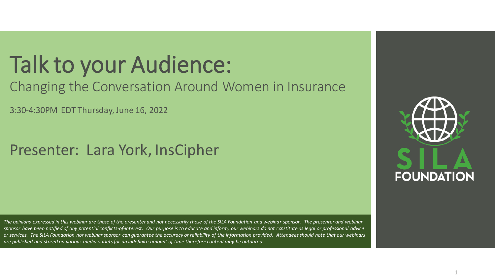### Talk to your Audience:

#### Changing the Conversation Around Women in Insurance

3:30-4:30PM EDT Thursday, June 16, 2022

#### Presenter: Lara York, InsCipher

**FOUNDATION** 

*The opinions expressed in this webinar are those of the presenter and not necessarily those of the SILA Foundation and webinar sponsor. The presenter and webinar sponsor have been notified of any potential conflicts-of-interest. Our purpose is to educate and inform, our webinars do not constitute as legal or professional advice or services. The SILA Foundation nor webinar sponsor can guarantee the accuracy or reliability of the information provided. Attendees should note that our webinars are published and stored on various media outlets for an indefinite amount of time therefore content may be outdated.*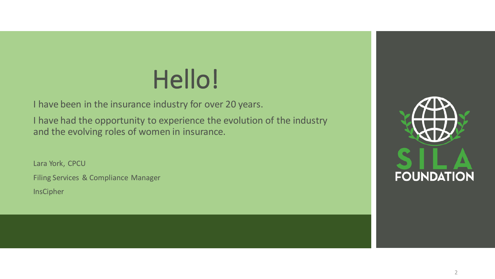## Hello!

I have been in the insurance industry for over 20 years.

I have had the opportunity to experience the evolution of the industry and the evolving roles of women in insurance.

Lara York, CPCU Filing Services & Compliance Manager **InsCipher** 

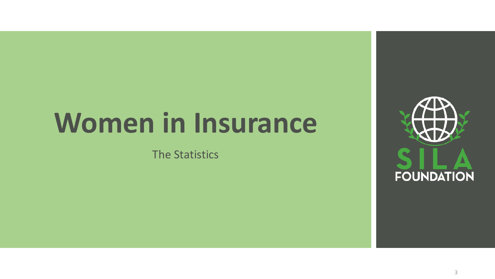# **Women in Insurance**

The Statistics

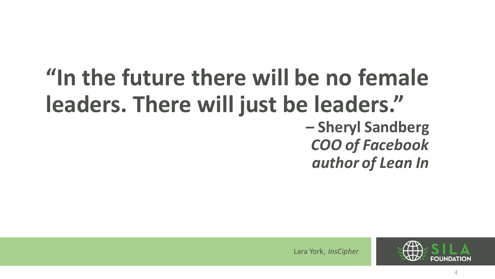### **"In the future there will be no female leaders. There will just be leaders." – Sheryl Sandberg** *COO of Facebook author of Lean In*



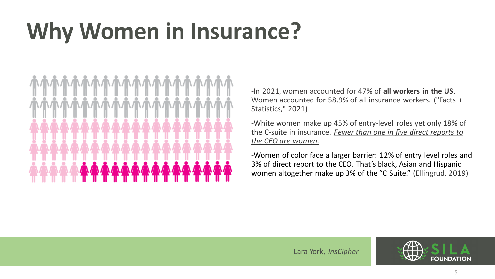## **Why Women in Insurance?**



-In 2021, women accounted for 47% of **all workers in the US**. Women accounted for 58.9% of all insurance workers. ("Facts + Statistics," 2021)

-White women make up 45% of entry-level roles yet only 18% of the C-suite in insurance. *Fewer than one in five direct reports to the CEO are women.*

-Women of color face a larger barrier: 12% of entry level roles and 3% of direct report to the CEO. That's black, Asian and Hispanic women altogether make up 3% of the "C Suite." (Ellingrud, 2019)

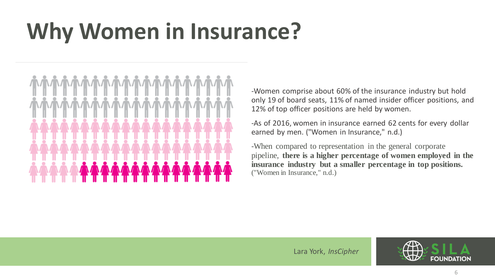## **Why Women in Insurance?**



-Women comprise about 60% of the insurance industry but hold only 19 of board seats, 11% of named insider officer positions, and 12% of top officer positions are held by women.

-As of 2016, women in insurance earned 62 cents for every dollar earned by men. ("Women in Insurance," n.d.)

-When compared to representation in the general corporate pipeline, **there is a higher percentage of women employed in the insurance industry but a smaller percentage in top positions.**  ("Women in Insurance," n.d.)

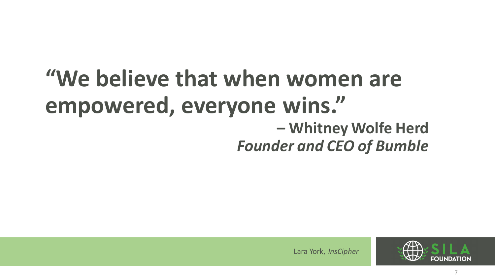### **"We believe that when women are empowered, everyone wins." – Whitney Wolfe Herd** *Founder and CEO of Bumble*

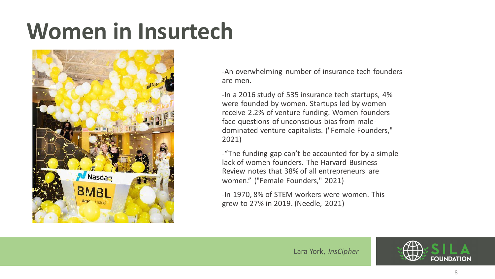## **Women in Insurtech**



-An overwhelming number of insurance tech founders are men.

-In a 2016 study of 535 insurance tech startups, 4% were founded by women. Startups led by women receive 2.2% of venture funding. Women founders face questions of unconscious bias from maledominated venture capitalists. ("Female Founders," 2021)

-"The funding gap can't be accounted for by a simple lack of women founders. The Harvard Business Review notes that 38% of all entrepreneurs are women." ("Female Founders," 2021)

-In 1970, 8% of STEM workers were women. This grew to 27% in 2019. (Needle, 2021)

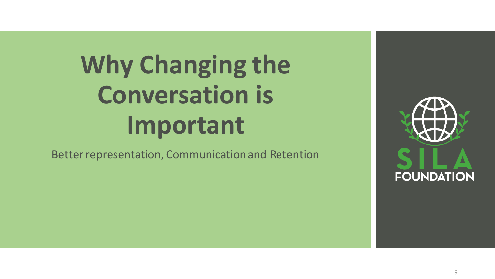# **Why Changing the Conversation is Important**

Better representation, Communication and Retention

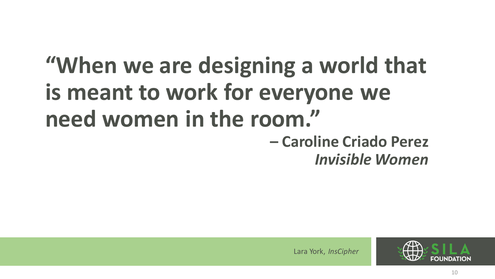# **"When we are designing a world that is meant to work for everyone we need women in the room."**

#### **– Caroline Criado Perez** *Invisible Women*

silafoundation. Inscription.

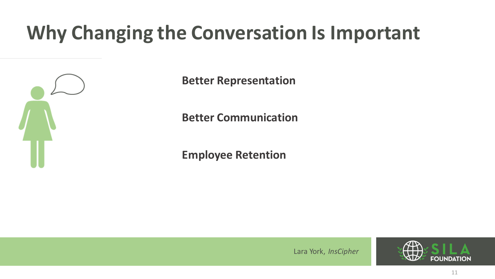### **Why Changing the Conversation Is Important**



**Better Representation**

**Better Communication**

**Employee Retention**

silafoundation. Inscription.

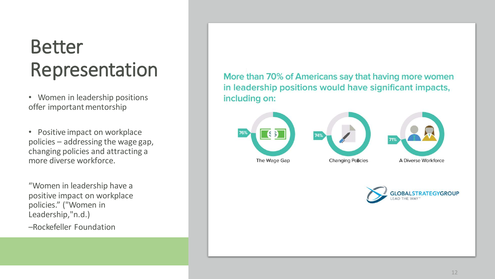### Better Representation

• Women in leadership positions offer important mentorship

• Positive impact on workplace policies – addressing the wage gap, changing policies and attracting a more diverse workforce.

"Women in leadership have a positive impact on workplace policies." ("Women in Leadership,"n.d.)

–Rockefeller Foundation

More than 70% of Americans say that having more women in leadership positions would have significant impacts, including on:



silafoundation.org



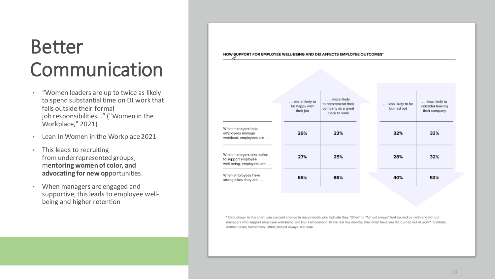### Better Communication

- "Women leaders are up to twice as likely to spend substantial time on DI work that falls outside their formal job responsibilities..." ("Women in the Workplace," 2021)
- Lean In Women in the Workplace 2021
- This leads to recruiting fromunderrepresented groups, m**entoring women of color, and advocating for new op**portunities.
- When managers are engaged and supportive, this leads to employee wellbeing and higher retention

HOW SUPPORT FOR EMPLOYEE WELL-BEING AND DEI AFFECTS EMPLOYEE OUTCOMES\*

|                                                                              | more likely to<br>be happy with<br>their job | more likely<br>to recommend their<br>company as a great<br>place to work | less likely to be<br>burned out | less likely to<br>consider leaving<br>their company |
|------------------------------------------------------------------------------|----------------------------------------------|--------------------------------------------------------------------------|---------------------------------|-----------------------------------------------------|
| Vhen managers help<br>mployees manage<br>vorkload, employees are             | 26%                                          | 23%                                                                      | 32%                             | 33%                                                 |
| Vhen managers take action<br>o support employee<br>vell-being, employees are | 27%                                          | 25%                                                                      | 28%                             | 32%                                                 |
| Vhen employees have<br>trong allies, they are                                | 65%                                          | 86%                                                                      | 40%                             | 53%                                                 |

\* Data shown in this chart uses percent change in respondents who indicate they "Often" or "Almost always" feel burned out with and without managers who support employee well-being and DEI. Full question: In the last few months, how often have you felt burned out at work? I Seldom; Almost never; Sometimes; Often; Almost always; Not sure.

silafoundation.org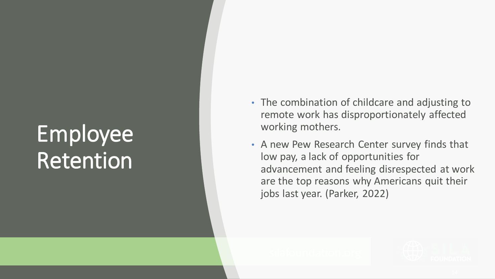## Employee Retention

- The combination of childcare and adjusting to remote work has disproportionately affected working mothers.
- A new Pew Research Center survey finds that low pay, a lack of opportunities for advancement and feeling disrespected at work are the top reasons why Americans quit their jobs last year. (Parker, 2022)

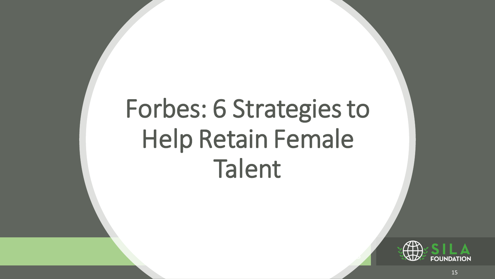# Forbes: 6 Strategies to Help Retain Female Talent

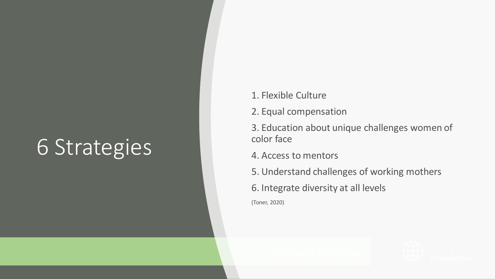### 6 Strategies

- 1. Flexible Culture
- 2. Equal compensation
- 3. Education about unique challenges women of color face
- 4. Access to mentors
- 5. Understand challenges of working mothers
- 6. Integrate diversity at all levels
- (Toner, 2020)

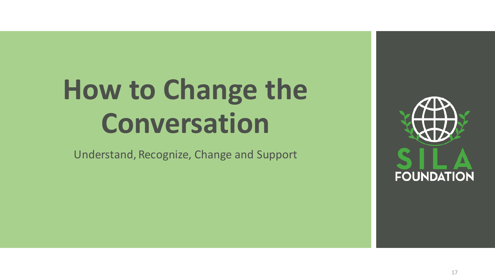Understand, Recognize, Change and Support

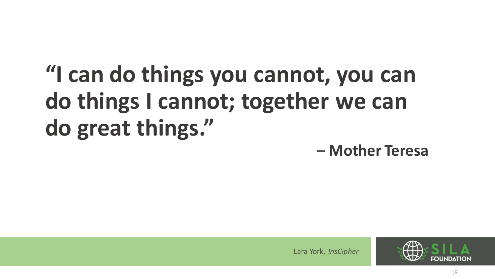## **"I can do things you cannot, you can do things I cannot; together we can do great things."**

**– Mother Teresa**

silafoundation. Inscription.

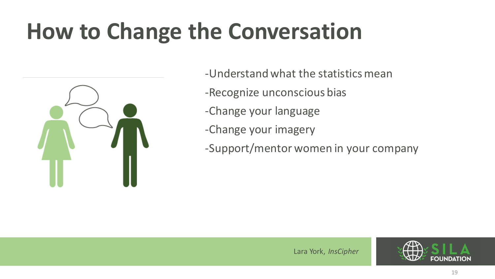

- -Understand what the statistics mean
- -Recognize unconscious bias
- -Change your language
- -Change your imagery
- -Support/mentor women in your company

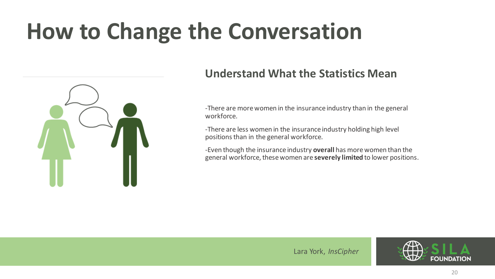

#### **Understand What the Statistics Mean**

-There are more women in the insurance industry than in the general workforce.

-There are less women in the insurance industry holding high level positions than in the general workforce.

-Even though the insurance industry **overall** has more women than the general workforce, these women are **severely limited** to lower positions.

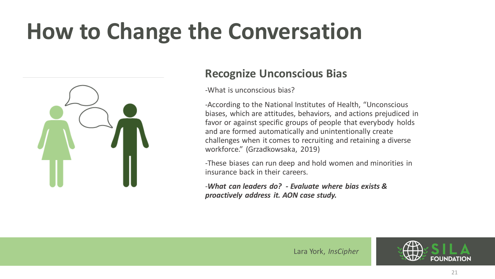

#### **Recognize Unconscious Bias**

-What is unconscious bias?

-According to the National Institutes of Health, "Unconscious biases, which are attitudes, behaviors, and actions prejudiced in favor or against specific groups of people that everybody holds and are formed automatically and unintentionally create challenges when it comes to recruiting and retaining a diverse workforce." (Grzadkowsaka, 2019)

-These biases can run deep and hold women and minorities in insurance back in their careers.

-*What can leaders do? - Evaluate where bias exists & proactively address it. AON case study.*

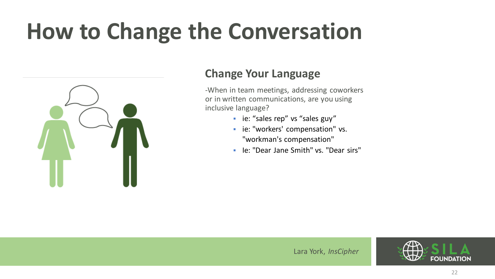

#### **Change Your Language**

-When in team meetings, addressing coworkers or in written communications, are you using inclusive language?

- ie: "sales rep" vs "sales guy"
- **·** ie: "workers' compensation" vs. "workman's compensation"
- Ie: "Dear Jane Smith" vs. "Dear sirs"

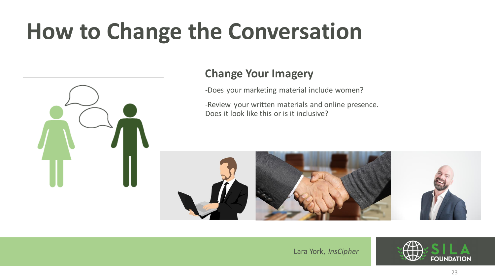

#### **Change Your Imagery**

-Does your marketing material include women?

-Review your written materials and online presence. Does it look like this or is it inclusive?



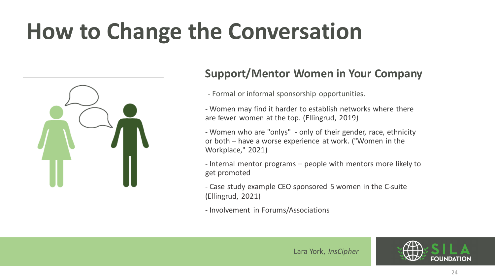

#### **Support/Mentor Women in Your Company**

- Formal or informal sponsorship opportunities.
- Women may find it harder to establish networks where there are fewer women at the top. (Ellingrud, 2019)
- Women who are "onlys" only of their gender, race, ethnicity or both – have a worse experience at work. ("Women in the Workplace," 2021)
- Internal mentor programs people with mentors more likely to get promoted
- Case study example CEO sponsored 5 women in the C-suite (Ellingrud, 2021)
- Involvement in Forums/Associations



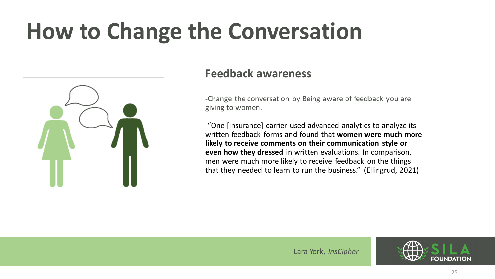

#### **Feedback awareness**

-Change the conversation by Being aware of feedback you are giving to women.

-"One [insurance] carrier used advanced analytics to analyze its written feedback forms and found that **women were much more likely to receive comments on their communication style or even how they dressed** in written evaluations. In comparison, men were much more likely to receive feedback on the things that they needed to learn to run the business." (Ellingrud, 2021)

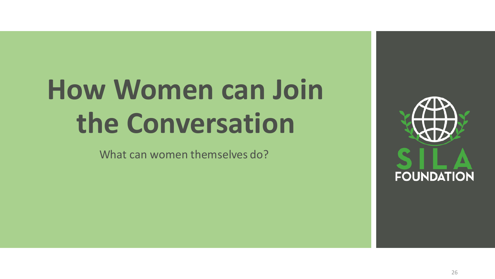# **How Women can Join the Conversation**

What can women themselves do?

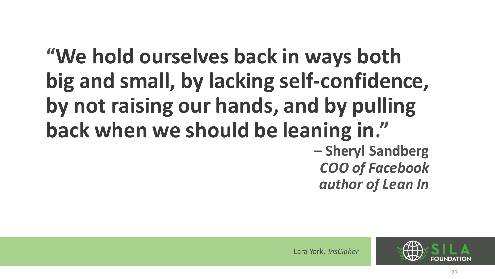### **"We hold ourselves back in ways both big and small, by lacking self-confidence, by not raising our hands, and by pulling back when we should be leaning in." – Sheryl Sandberg** *COO of Facebook author of Lean In*

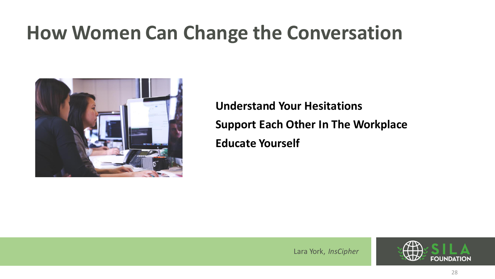

**Understand Your Hesitations Support Each Other In The Workplace Educate Yourself**

silafoundation. Inscription.

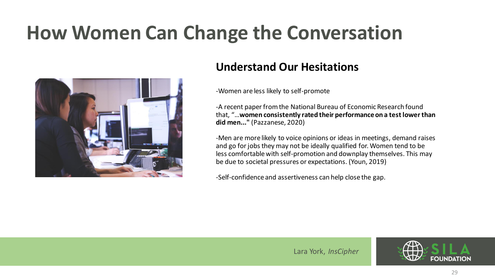

#### **Understand Our Hesitations**

-Women are less likely to self-promote

-A recent paper from the National Bureau of Economic Research found that, "…**women consistently rated their performance on a test lower than did men..."** (Pazzanese, 2020)

-Men are more likely to voice opinions or ideas in meetings, demand raises and go for jobs they may not be ideally qualified for. Women tend to be less comfortable with self-promotion and downplay themselves. This may be due to societal pressures or expectations. (Youn, 2019)

-Self-confidence and assertiveness can help close the gap.

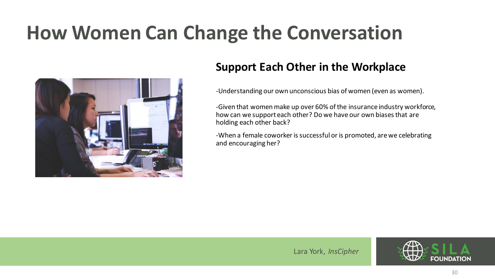

#### **Support Each Other in the Workplace**

-Understanding our own unconscious bias of women (even as women).

-Given that women make up over 60% of the insurance industry workforce, how can we support each other? Do we have our own biases that are holding each other back?

-When a female coworker is successful or is promoted, are we celebrating and encouraging her?

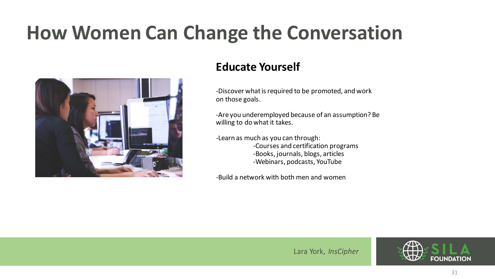

#### **Educate Yourself**

-Discover what is required to be promoted, and work on those goals.

-Are you underemployed because of an assumption? Be willing to do what it takes.

-Learn as much as you can through: -Courses and certification programs -Books, journals, blogs, articles -Webinars, podcasts, YouTube

-Build a network with both men and women

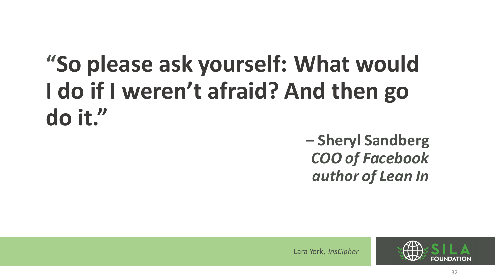## **"So please ask yourself: What would I do if I weren't afraid? And then go do it."**

**– Sheryl Sandberg** *COO of Facebook author of Lean In*

silafoundation. Inscription.

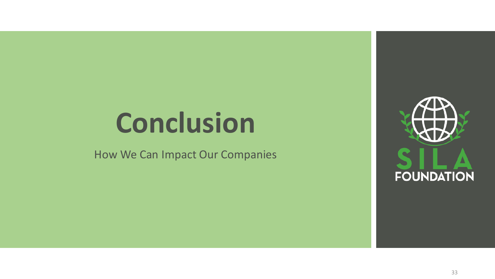# **Conclusion**

How We Can Impact Our Companies

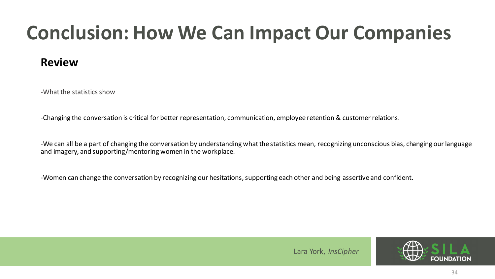### **Conclusion: How We Can Impact Our Companies**

#### **Review**

-What the statistics show

-Changing the conversation is critical for better representation, communication, employee retention & customer relations.

-We can all be a part of changing the conversation by understanding what the statistics mean, recognizing unconscious bias, changing our language and imagery, and supporting/mentoring women in the workplace.

-Women can change the conversation by recognizing our hesitations, supporting each other and being assertive and confident.



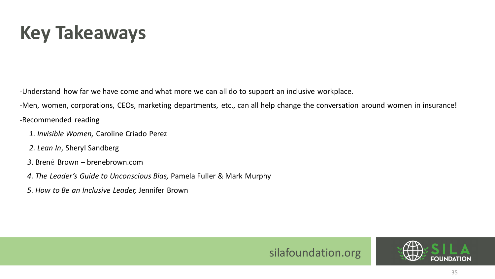### **Key Takeaways**

-Understand how far we have come and what more we can all do to support an inclusive workplace.

-Men, women, corporations, CEOs, marketing departments, etc., can all help change the conversation around women in insurance!

-Recommended reading

- *1. Invisible Women,* Caroline Criado Perez
- *2. Lean In*, Sheryl Sandberg
- *3*. Brené Brown brenebrown.com
- *4. The Leader's Guide to Unconscious Bias,* Pamela Fuller & Mark Murphy
- *5. How to Be an Inclusive Leader,* Jennifer Brown



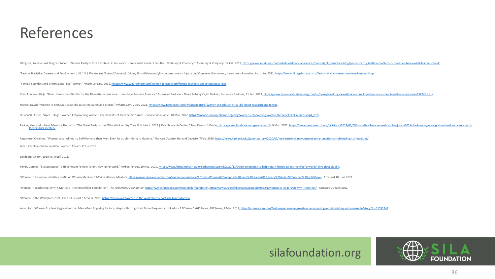#### References

Ellingrud, Kweilin, and Meghan Lodolo. "Gender Parity Is Still a Problem in Insurance: Here's What Leaders Can Do | McKinsey & Company." McKinsey & Company, 17 Oct. 2019, https://www.mckinsey.com/industries/financial-servi "Facts + Statistics: Careers and Employment | III." III | We Are the Trusted Source of Unique, Data-Driven Insights on Insurance to Inform and Empower Consumers., Insurance Information Institute, 2021, https://www.iii.org/ "Female Founders and Unconscious Bias." *Home | Finpro*, 24 Nov. 2021, [https://www.wearefinpro.com/women-in-insuretech/female-founders-and-unconscious-bias.](https://www.wearefinpro.com/women-in-insuretech/female-founders-and-unconscious-bias) Grzadkowska, Alicja. "How Unconscious Bias Harms the Diversity in Insurance | Insurance Business America." Insurance Business - News & Analysis for Brokers, Insurance Business, 11 Feb. 2019, https://www.insurancebusinessma Needle, David. "Women in Tech Statistics: The Latest Research and Trends." *WhatIs.Com*, 2 July 2021, [https://www.techtarget.com/whatis/feature/Women-in-tech-statistics-The-latest-research-and-trends.](https://www.techtarget.com/whatis/feature/Women-in-tech-statistics-The-latest-research-and-trends) O'Connell, Alison. "Apra: Blogs: Women Empowering Women: The Benefits of Mentorship." Apra: Connections Home, 10 Mar. 2022, https://connections.aprahome.org/blog/women-empowering-women-the-benefits-of-mentorship# ftn5. Parker, Kim, and Juliana Menasce Horowitz. "The Great Resignation: Why Workers Say They Quit Jobs in 2021 | Pew Research Center." Pew Research Center." Pew Research Center, https://www.facebook.com/pewresearch, 9 Mar. 2022 feeling-disrespected/. Pazzanese, Christina. "Women Less Indined to Self-Promote than Men, Even for a Job - Harvard Gazette." Harvard Gazette, Harvard Gazette, 7 Feb. 2020, https://news.harvard.edu/gazette/story/2020/02/men-better-than-women-at-Perez, Caroline Criado. *Invisible Women*. Abrams Press, 2019. Sandberg, Sheryl. *Lean In*. Knopf, 2013. Toner, Gemma. "Six Strategies To Help Retain Female Talent Moving Forward." Forbes, Torbes, 10 Nov. 2020, https://www.forbes.com/sites/forbesbusinesscouncil/2020/11/10/six-strategies-to-help-retain-female-talent-moving-for "Women In Insurance Initiative - Million Women Mentors." Million Women Mentors, https://mwm.stemconnector.com/womenin-insurance/#:":text=Women%20comprise%20more%20than%2060.every%20dollar%20earned%20by%20men. Accessed 10 J "Women in Leadership: Why It Matters - The Rockefeller Foundation." The Rockefeller Foundation, [https://www.facebook.com/rockefellerfoundation,](https://www.facebook.com/rockefellerfoundation) https://www.rockefellerfoundation.org/report/women-in-leadership-why-it-matter "Women in the Workplace 2021: The Full Report." *Lean In*, 2021, [https://leanin.org/women-in-the-workplace-report-2021/introduction.](https://leanin.org/women-in-the-workplace-report-2021/introduction) Youn, Soo. "Women Are Less Aggressive than Men When Applying for Jobs, despite Getting Hired More Frequently: LinkedIn - ABC News." ABC News, ABC News, 7 Mar. 2019, https://abcnews.go.com/Business/women-aggressive-men-appl

#### silafoundation.org